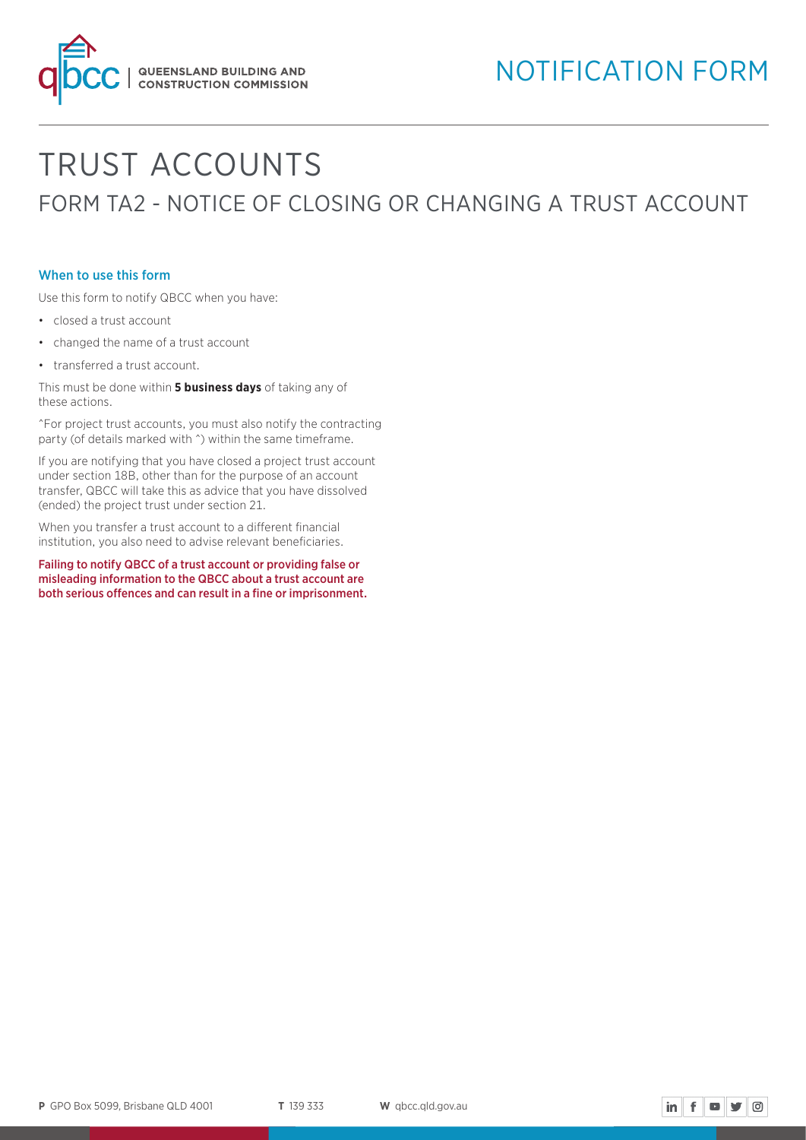

# TRUST ACCOUNTS FORM TA2 - NOTICE OF CLOSING OR CHANGING A TRUST ACCOUNT

#### When to use this form

Use this form to notify QBCC when you have:

- closed a trust account
- changed the name of a trust account
- transferred a trust account.

This must be done within **5 business days** of taking any of these actions.

^For project trust accounts, you must also notify the contracting party (of details marked with  $\hat{ }$ ) within the same timeframe.

If you are notifying that you have closed a project trust account under section 18B, other than for the purpose of an account transfer, QBCC will take this as advice that you have dissolved (ended) the project trust under section 21.

When you transfer a trust account to a different financial institution, you also need to advise relevant beneficiaries.

Failing to notify QBCC of a trust account or providing false or misleading information to the QBCC about a trust account are both serious offences and can result in a fine or imprisonment.

$$
\mathsf{in} \parallel \mathbf{f} \parallel \mathbf{w} \parallel \mathbf{y} \parallel \text{on}
$$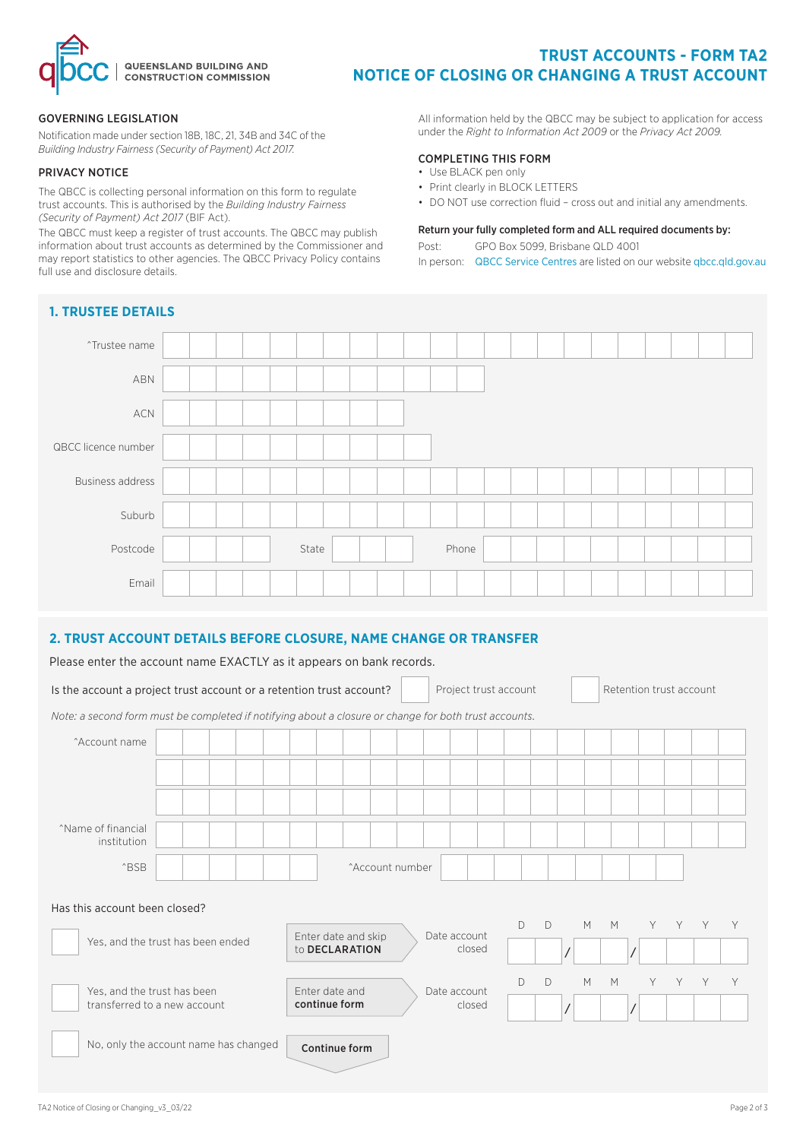

# **TRUST ACCOUNTS - FORM TA2 NOTICE OF CLOSING OR CHANGING A TRUST ACCOUNT**

#### GOVERNING LEGISLATION

Notification made under section 18B, 18C, 21, 34B and 34C of the *Building Industry Fairness (Security of Payment) Act 2017.* 

#### PRIVACY NOTICE

The QBCC is collecting personal information on this form to regulate trust accounts. This is authorised by the *Building Industry Fairness (Security of Payment) Act 2017* (BIF Act).

The QBCC must keep a register of trust accounts. The QBCC may publish information about trust accounts as determined by the Commissioner and may report statistics to other agencies. The QBCC Privacy Policy contains full use and disclosure details.

**1. TRUSTEE DETAILS**

All information held by the QBCC may be subject to application for access under the *Right to Information Act 2009* or the *Privacy Act 2009.*

#### COMPLETING THIS FORM

- Use BLACK pen only
- Print clearly in BLOCK LETTERS
- DO NOT use correction fluid cross out and initial any amendments.

#### Return your fully completed form and ALL required documents by:

Post: GPO Box 5099, Brisbane QLD 4001

In person: [QBCC Service Centres](www.qbcc.qld.gov.au/locate-office) are listed on our website [qbcc.qld.gov.au](http://qbcc.qld.gov.au )

| <b>I. IKUSILE DETAILS</b> |  |  |       |  |  |       |  |  |  |  |  |
|---------------------------|--|--|-------|--|--|-------|--|--|--|--|--|
| ^Trustee name             |  |  |       |  |  |       |  |  |  |  |  |
| ABN                       |  |  |       |  |  |       |  |  |  |  |  |
| $\sf{ACN}$                |  |  |       |  |  |       |  |  |  |  |  |
| QBCC licence number       |  |  |       |  |  |       |  |  |  |  |  |
| <b>Business address</b>   |  |  |       |  |  |       |  |  |  |  |  |
| Suburb                    |  |  |       |  |  |       |  |  |  |  |  |
| Postcode                  |  |  | State |  |  | Phone |  |  |  |  |  |
| Email                     |  |  |       |  |  |       |  |  |  |  |  |

### **2. TRUST ACCOUNT DETAILS BEFORE CLOSURE, NAME CHANGE OR TRANSFER**

Please enter the account name EXACTLY as it appears on bank records.

| Is the account a project trust account or a retention trust account?                                  |  |                     |  |                        |                 |              | Project trust account |   |   |   |   | Retention trust account |   |   |   |   |  |
|-------------------------------------------------------------------------------------------------------|--|---------------------|--|------------------------|-----------------|--------------|-----------------------|---|---|---|---|-------------------------|---|---|---|---|--|
| Note: a second form must be completed if notifying about a closure or change for both trust accounts. |  |                     |  |                        |                 |              |                       |   |   |   |   |                         |   |   |   |   |  |
| ^Account name                                                                                         |  |                     |  |                        |                 |              |                       |   |   |   |   |                         |   |   |   |   |  |
|                                                                                                       |  |                     |  |                        |                 |              |                       |   |   |   |   |                         |   |   |   |   |  |
|                                                                                                       |  |                     |  |                        |                 |              |                       |   |   |   |   |                         |   |   |   |   |  |
|                                                                                                       |  |                     |  |                        |                 |              |                       |   |   |   |   |                         |   |   |   |   |  |
| <sup>^</sup> Name of financial<br>institution                                                         |  |                     |  |                        |                 |              |                       |   |   |   |   |                         |   |   |   |   |  |
| <b>^BSB</b>                                                                                           |  |                     |  |                        | ^Account number |              |                       |   |   |   |   |                         |   |   |   |   |  |
| Has this account been closed?                                                                         |  |                     |  |                        |                 |              |                       |   |   |   |   |                         |   |   |   |   |  |
|                                                                                                       |  | Enter date and skip |  | Date account<br>closed |                 |              | D                     |   | M | M |   | Y Y                     | Y | Y |   |   |  |
| Yes, and the trust has been ended                                                                     |  | to DECLARATION      |  |                        |                 |              |                       |   |   |   |   |                         |   |   |   |   |  |
| Yes, and the trust has been                                                                           |  |                     |  | Enter date and         |                 | Date account |                       | D | D |   | M | M                       | Y | Y | Y | Y |  |
| transferred to a new account                                                                          |  | continue form       |  |                        | closed          |              |                       |   |   |   |   |                         |   |   |   |   |  |
| No, only the account name has changed                                                                 |  |                     |  | Continue form          |                 |              |                       |   |   |   |   |                         |   |   |   |   |  |
|                                                                                                       |  |                     |  |                        |                 |              |                       |   |   |   |   |                         |   |   |   |   |  |